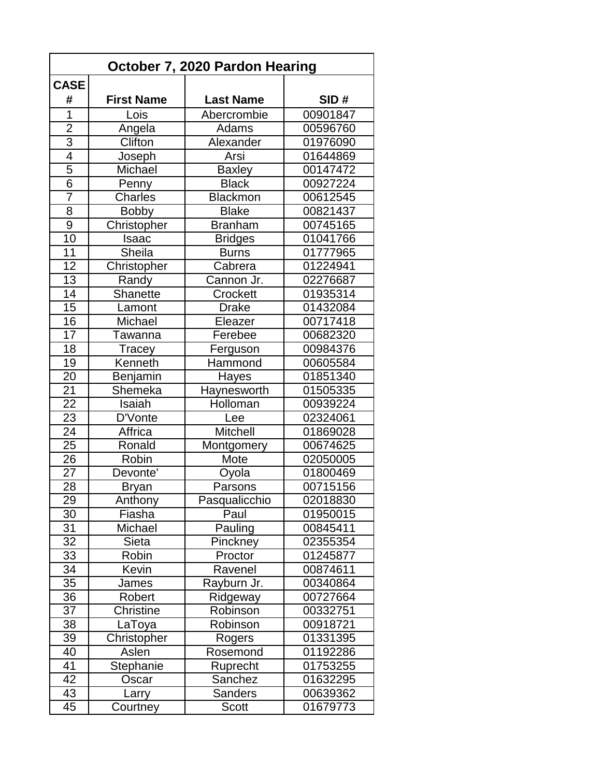| October 7, 2020 Pardon Hearing |                   |                  |          |  |
|--------------------------------|-------------------|------------------|----------|--|
| <b>CASE</b>                    |                   |                  |          |  |
| #                              | <b>First Name</b> | <b>Last Name</b> | SID#     |  |
| 1                              | Lois              | Abercrombie      | 00901847 |  |
| $\overline{2}$                 | Angela            | Adams            | 00596760 |  |
| $\overline{3}$                 | Clifton           | Alexander        | 01976090 |  |
| $\overline{4}$                 | Joseph            | Arsi             | 01644869 |  |
| 5                              | Michael           | <b>Baxley</b>    | 00147472 |  |
| $\overline{6}$                 | Penny             | <b>Black</b>     | 00927224 |  |
| 7                              | Charles           | <b>Blackmon</b>  | 00612545 |  |
| 8                              | <b>Bobby</b>      | <b>Blake</b>     | 00821437 |  |
| $\overline{9}$                 | Christopher       | <b>Branham</b>   | 00745165 |  |
| 10                             | Isaac             | <b>Bridges</b>   | 01041766 |  |
| 11                             | Sheila            | <b>Burns</b>     | 01777965 |  |
| 12                             | Christopher       | Cabrera          | 01224941 |  |
| 13                             | Randy             | Cannon Jr.       | 02276687 |  |
| 14                             | <b>Shanette</b>   | Crockett         | 01935314 |  |
| 15                             | Lamont            | <b>Drake</b>     | 01432084 |  |
| 16                             | Michael           | Eleazer          | 00717418 |  |
| $\overline{17}$                | Tawanna           | Ferebee          | 00682320 |  |
| 18                             | Tracey            | Ferguson         | 00984376 |  |
| 19                             | Kenneth           | Hammond          | 00605584 |  |
| 20                             | Benjamin          | Hayes            | 01851340 |  |
| 21                             | Shemeka           | Haynesworth      | 01505335 |  |
| 22                             | Isaiah            | Holloman         | 00939224 |  |
| 23                             | D'Vonte           | Lee              | 02324061 |  |
| 24                             | Affrica           | <b>Mitchell</b>  | 01869028 |  |
| 25                             | Ronald            | Montgomery       | 00674625 |  |
| 26                             | Robin             | Mote             | 02050005 |  |
| 27                             | Devonte'          | Oyola            | 01800469 |  |
| 28                             | <b>Bryan</b>      | Parsons          | 00715156 |  |
| 29                             | Anthony           | Pasqualicchio    | 02018830 |  |
| 30                             | Fiasha            | Paul             | 01950015 |  |
| 31                             | Michael           | Pauling          | 00845411 |  |
| 32                             | Sieta             | Pinckney         | 02355354 |  |
| 33                             | Robin             | Proctor          | 01245877 |  |
| 34                             | Kevin             | Ravenel          | 00874611 |  |
| 35                             | James             | Rayburn Jr.      | 00340864 |  |
| 36                             | Robert            | Ridgeway         | 00727664 |  |
| 37                             | Christine         | Robinson         | 00332751 |  |
| 38                             | LaToya            | Robinson         | 00918721 |  |
| 39                             | Christopher       | Rogers           | 01331395 |  |
| 40                             | Aslen             | Rosemond         | 01192286 |  |
| 41                             | Stephanie         | Ruprecht         | 01753255 |  |
| 42                             | Oscar             | Sanchez          | 01632295 |  |
| 43                             | Larry             | <b>Sanders</b>   | 00639362 |  |
| 45                             | Courtney          | <b>Scott</b>     | 01679773 |  |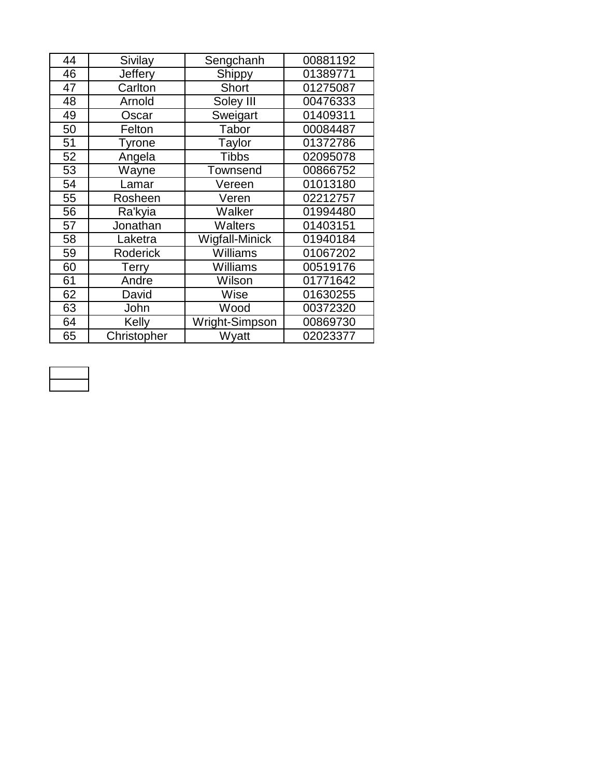| 44 | Sivilay      | Sengchanh      | 00881192 |
|----|--------------|----------------|----------|
| 46 | Jeffery      | Shippy         | 01389771 |
| 47 | Carlton      | Short          | 01275087 |
| 48 | Arnold       | Soley III      | 00476333 |
| 49 | Oscar        | Sweigart       | 01409311 |
| 50 | Felton       | Tabor          | 00084487 |
| 51 | Tyrone       | Taylor         | 01372786 |
| 52 | Angela       | <b>Tibbs</b>   | 02095078 |
| 53 | Wayne        | Townsend       | 00866752 |
| 54 | Lamar        | Vereen         | 01013180 |
| 55 | Rosheen      | Veren          | 02212757 |
| 56 | Ra'kyia      | Walker         | 01994480 |
| 57 | Jonathan     | Walters        | 01403151 |
| 58 | Laketra      | Wigfall-Minick | 01940184 |
| 59 | Roderick     | Williams       | 01067202 |
| 60 | <b>Terry</b> | Williams       | 00519176 |
| 61 | Andre        | Wilson         | 01771642 |
| 62 | David        | Wise           | 01630255 |
| 63 | John         | Wood           | 00372320 |
| 64 | Kelly        | Wright-Simpson | 00869730 |
| 65 | Christopher  | Wyatt          | 02023377 |